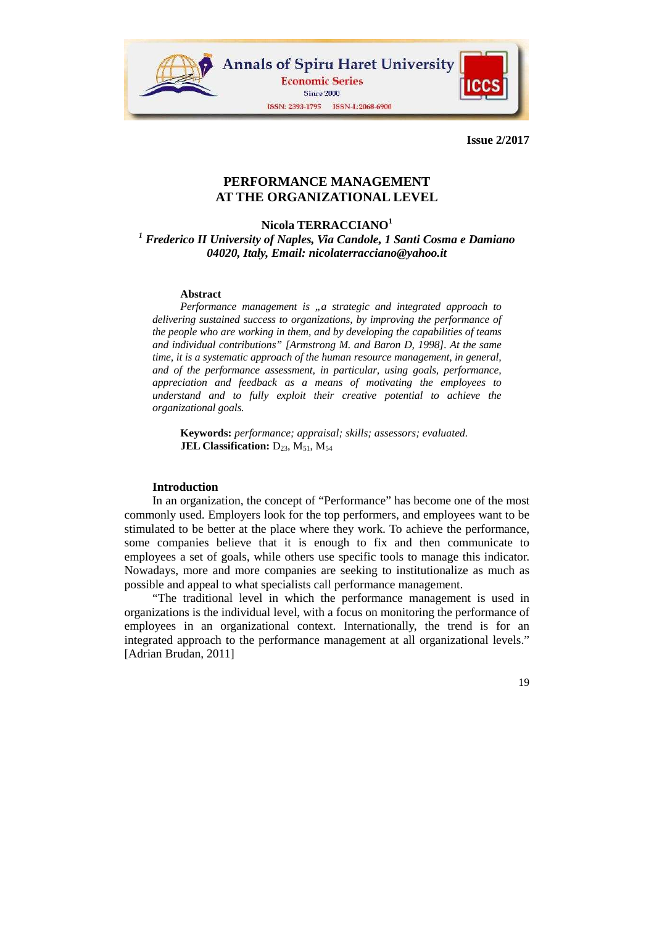

# **PERFORMANCE MANAGEMENT AT THE ORGANIZATIONAL LEVEL**

# **Nicola TERRACCIANO<sup>1</sup>**

<sup>1</sup> Frederico II University of Naples, Via Candole, 1 Santi Cosma e Damiano *04020, Italy, Email: nicolaterracciano@yahoo.it* 

#### **Abstract**

*Performance management is "a strategic and integrated approach to delivering sustained success to organizations, by improving the performance of the people who are working in them, and by developing the capabilities of teams and individual contributions" [Armstrong M. and Baron D, 1998]. At the same time, it is a systematic approach of the human resource management, in general, and of the performance assessment, in particular, using goals, performance, appreciation and feedback as a means of motivating the employees to understand and to fully exploit their creative potential to achieve the organizational goals.* 

**Keywords:** *performance; appraisal; skills; assessors; evaluated.*  **JEL Classification:**  $D_{23}$ ,  $M_{51}$ ,  $M_{54}$ 

### **Introduction**

In an organization, the concept of "Performance" has become one of the most commonly used. Employers look for the top performers, and employees want to be stimulated to be better at the place where they work. To achieve the performance, some companies believe that it is enough to fix and then communicate to employees a set of goals, while others use specific tools to manage this indicator. Nowadays, more and more companies are seeking to institutionalize as much as possible and appeal to what specialists call performance management.

"The traditional level in which the performance management is used in organizations is the individual level, with a focus on monitoring the performance of employees in an organizational context. Internationally, the trend is for an integrated approach to the performance management at all organizational levels." [Adrian Brudan, 2011]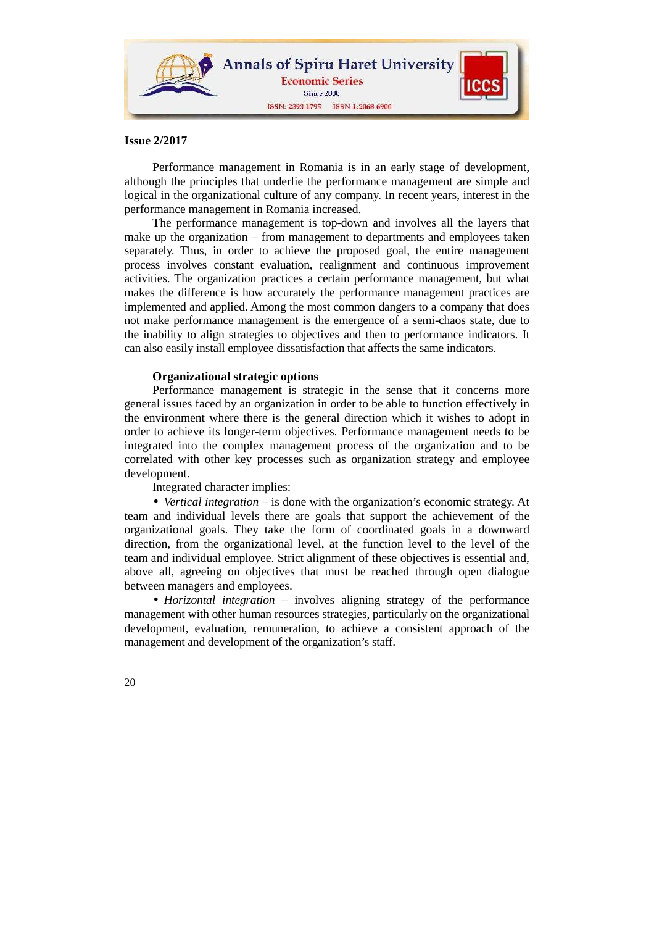

Performance management in Romania is in an early stage of development, although the principles that underlie the performance management are simple and logical in the organizational culture of any company. In recent years, interest in the performance management in Romania increased.

The performance management is top-down and involves all the layers that make up the organization – from management to departments and employees taken separately. Thus, in order to achieve the proposed goal, the entire management process involves constant evaluation, realignment and continuous improvement activities. The organization practices a certain performance management, but what makes the difference is how accurately the performance management practices are implemented and applied. Among the most common dangers to a company that does not make performance management is the emergence of a semi-chaos state, due to the inability to align strategies to objectives and then to performance indicators. It can also easily install employee dissatisfaction that affects the same indicators.

## **Organizational strategic options**

Performance management is strategic in the sense that it concerns more general issues faced by an organization in order to be able to function effectively in the environment where there is the general direction which it wishes to adopt in order to achieve its longer-term objectives. Performance management needs to be integrated into the complex management process of the organization and to be correlated with other key processes such as organization strategy and employee development.

Integrated character implies:

• *Vertical integration* – is done with the organization's economic strategy. At team and individual levels there are goals that support the achievement of the organizational goals. They take the form of coordinated goals in a downward direction, from the organizational level, at the function level to the level of the team and individual employee. Strict alignment of these objectives is essential and, above all, agreeing on objectives that must be reached through open dialogue between managers and employees.

• *Horizontal integration* – involves aligning strategy of the performance management with other human resources strategies, particularly on the organizational development, evaluation, remuneration, to achieve a consistent approach of the management and development of the organization's staff.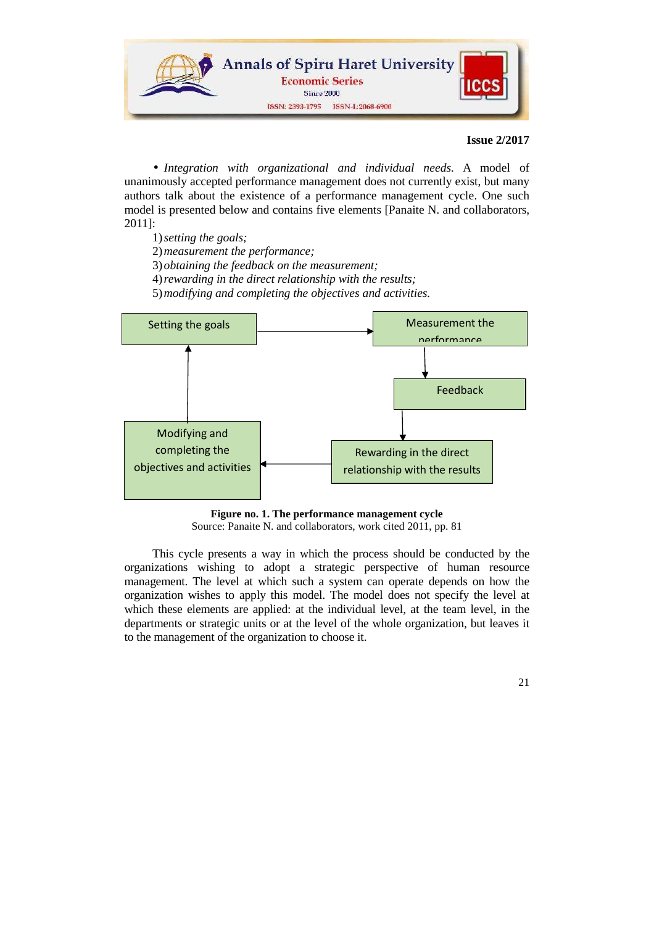

• *Integration with organizational and individual needs.* A model of unanimously accepted performance management does not currently exist, but many authors talk about the existence of a performance management cycle. One such model is presented below and contains five elements [Panaite N. and collaborators, 2011]:

- 1)*setting the goals;*
- 2)*measurement the performance;*
- 3)*obtaining the feedback on the measurement;*
- 4)*rewarding in the direct relationship with the results;*

5)*modifying and completing the objectives and activities.* 



**Figure no. 1. The performance management cycle** Source: Panaite N. and collaborators, work cited 2011, pp. 81

This cycle presents a way in which the process should be conducted by the organizations wishing to adopt a strategic perspective of human resource management. The level at which such a system can operate depends on how the organization wishes to apply this model. The model does not specify the level at which these elements are applied: at the individual level, at the team level, in the departments or strategic units or at the level of the whole organization, but leaves it to the management of the organization to choose it.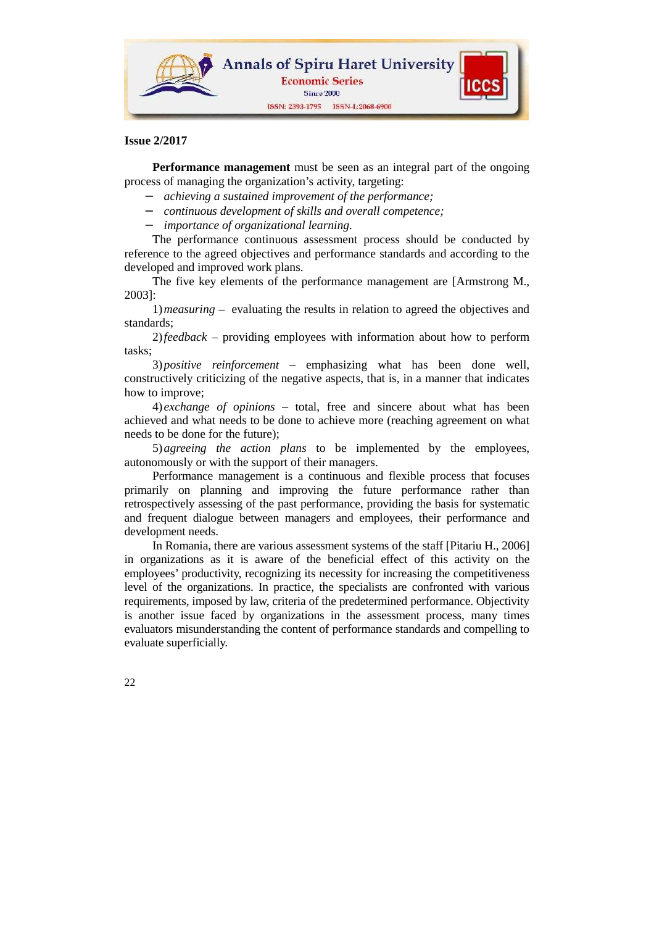

**Performance management** must be seen as an integral part of the ongoing process of managing the organization's activity, targeting:

- − *achieving a sustained improvement of the performance;*
- − *continuous development of skills and overall competence;*
- − *importance of organizational learning.*

The performance continuous assessment process should be conducted by reference to the agreed objectives and performance standards and according to the developed and improved work plans.

The five key elements of the performance management are [Armstrong M., 2003]:

1)*measuring* – evaluating the results in relation to agreed the objectives and standards;

2)*feedback* – providing employees with information about how to perform tasks;

3)*positive reinforcement* – emphasizing what has been done well, constructively criticizing of the negative aspects, that is, in a manner that indicates how to improve;

4) *exchange of opinions* – total, free and sincere about what has been achieved and what needs to be done to achieve more (reaching agreement on what needs to be done for the future);

5)*agreeing the action plans* to be implemented by the employees, autonomously or with the support of their managers.

Performance management is a continuous and flexible process that focuses primarily on planning and improving the future performance rather than retrospectively assessing of the past performance, providing the basis for systematic and frequent dialogue between managers and employees, their performance and development needs.

In Romania, there are various assessment systems of the staff [Pitariu H., 2006] in organizations as it is aware of the beneficial effect of this activity on the employees' productivity, recognizing its necessity for increasing the competitiveness level of the organizations. In practice, the specialists are confronted with various requirements, imposed by law, criteria of the predetermined performance. Objectivity is another issue faced by organizations in the assessment process, many times evaluators misunderstanding the content of performance standards and compelling to evaluate superficially.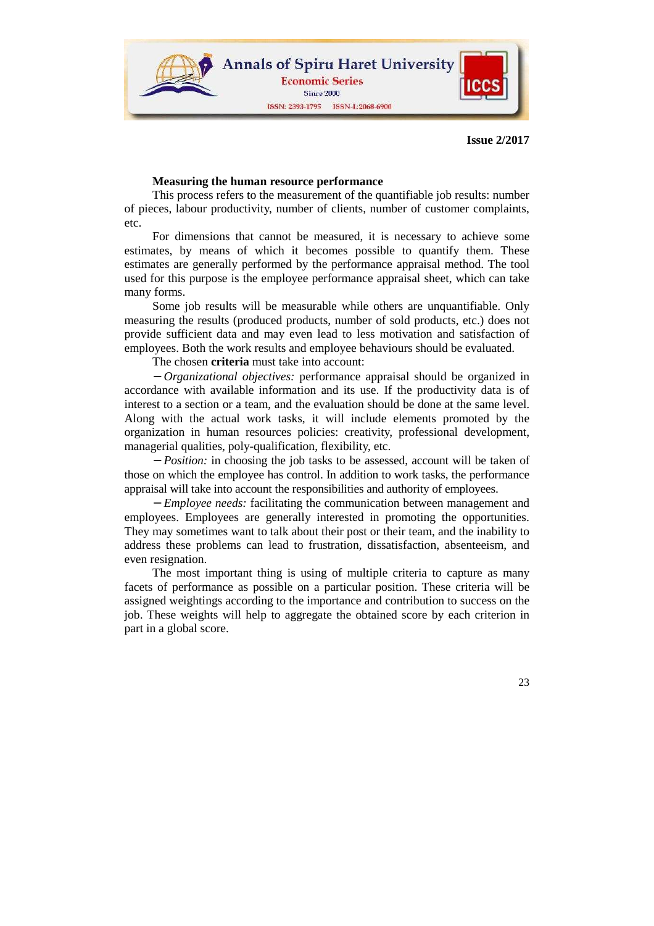

### **Measuring the human resource performance**

This process refers to the measurement of the quantifiable job results: number of pieces, labour productivity, number of clients, number of customer complaints, etc.

For dimensions that cannot be measured, it is necessary to achieve some estimates, by means of which it becomes possible to quantify them. These estimates are generally performed by the performance appraisal method. The tool used for this purpose is the employee performance appraisal sheet, which can take many forms.

Some job results will be measurable while others are unquantifiable. Only measuring the results (produced products, number of sold products, etc.) does not provide sufficient data and may even lead to less motivation and satisfaction of employees. Both the work results and employee behaviours should be evaluated.

The chosen **criteria** must take into account:

− *Organizational objectives:* performance appraisal should be organized in accordance with available information and its use. If the productivity data is of interest to a section or a team, and the evaluation should be done at the same level. Along with the actual work tasks, it will include elements promoted by the organization in human resources policies: creativity, professional development, managerial qualities, poly-qualification, flexibility, etc.

− *Position:* in choosing the job tasks to be assessed, account will be taken of those on which the employee has control. In addition to work tasks, the performance appraisal will take into account the responsibilities and authority of employees.

− *Employee needs:* facilitating the communication between management and employees. Employees are generally interested in promoting the opportunities. They may sometimes want to talk about their post or their team, and the inability to address these problems can lead to frustration, dissatisfaction, absenteeism, and even resignation.

The most important thing is using of multiple criteria to capture as many facets of performance as possible on a particular position. These criteria will be assigned weightings according to the importance and contribution to success on the job. These weights will help to aggregate the obtained score by each criterion in part in a global score.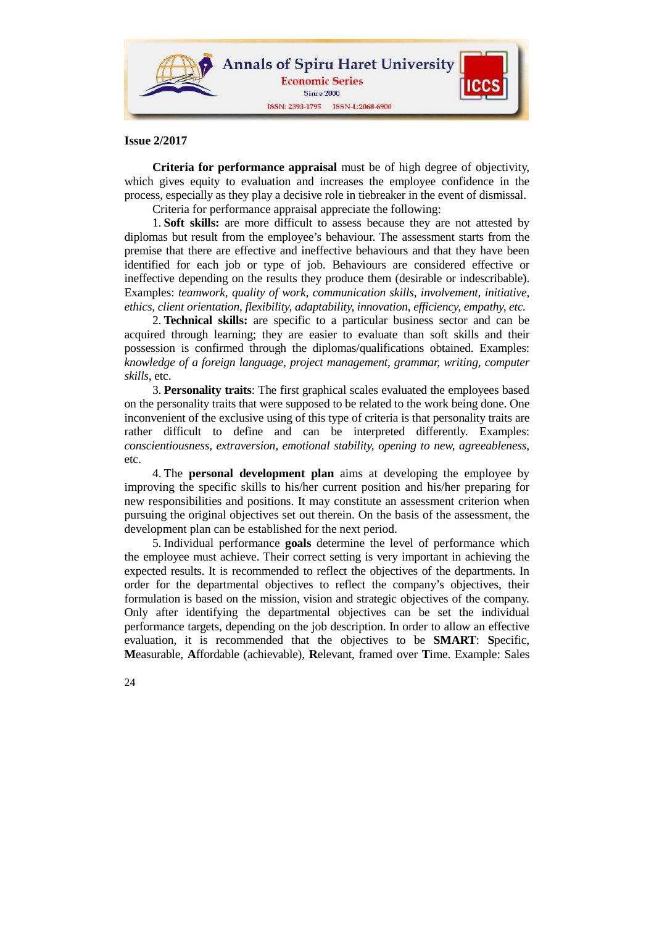

**Criteria for performance appraisal** must be of high degree of objectivity, which gives equity to evaluation and increases the employee confidence in the process, especially as they play a decisive role in tiebreaker in the event of dismissal.

Criteria for performance appraisal appreciate the following:

1. **Soft skills:** are more difficult to assess because they are not attested by diplomas but result from the employee's behaviour. The assessment starts from the premise that there are effective and ineffective behaviours and that they have been identified for each job or type of job. Behaviours are considered effective or ineffective depending on the results they produce them (desirable or indescribable). Examples: *teamwork, quality of work, communication skills, involvement, initiative, ethics, client orientation, flexibility, adaptability, innovation, efficiency, empathy, etc.* 

2. **Technical skills:** are specific to a particular business sector and can be acquired through learning; they are easier to evaluate than soft skills and their possession is confirmed through the diplomas/qualifications obtained. Examples: *knowledge of a foreign language, project management, grammar, writing, computer skills,* etc.

3. **Personality traits**: The first graphical scales evaluated the employees based on the personality traits that were supposed to be related to the work being done. One inconvenient of the exclusive using of this type of criteria is that personality traits are rather difficult to define and can be interpreted differently. Examples: *conscientiousness, extraversion, emotional stability, opening to new, agreeableness,* etc.

4. The **personal development plan** aims at developing the employee by improving the specific skills to his/her current position and his/her preparing for new responsibilities and positions. It may constitute an assessment criterion when pursuing the original objectives set out therein. On the basis of the assessment, the development plan can be established for the next period.

5. Individual performance **goals** determine the level of performance which the employee must achieve. Their correct setting is very important in achieving the expected results. It is recommended to reflect the objectives of the departments. In order for the departmental objectives to reflect the company's objectives, their formulation is based on the mission, vision and strategic objectives of the company. Only after identifying the departmental objectives can be set the individual performance targets, depending on the job description. In order to allow an effective evaluation, it is recommended that the objectives to be **SMART**: **S**pecific, **M**easurable, **A**ffordable (achievable), **R**elevant, framed over **T**ime. Example: Sales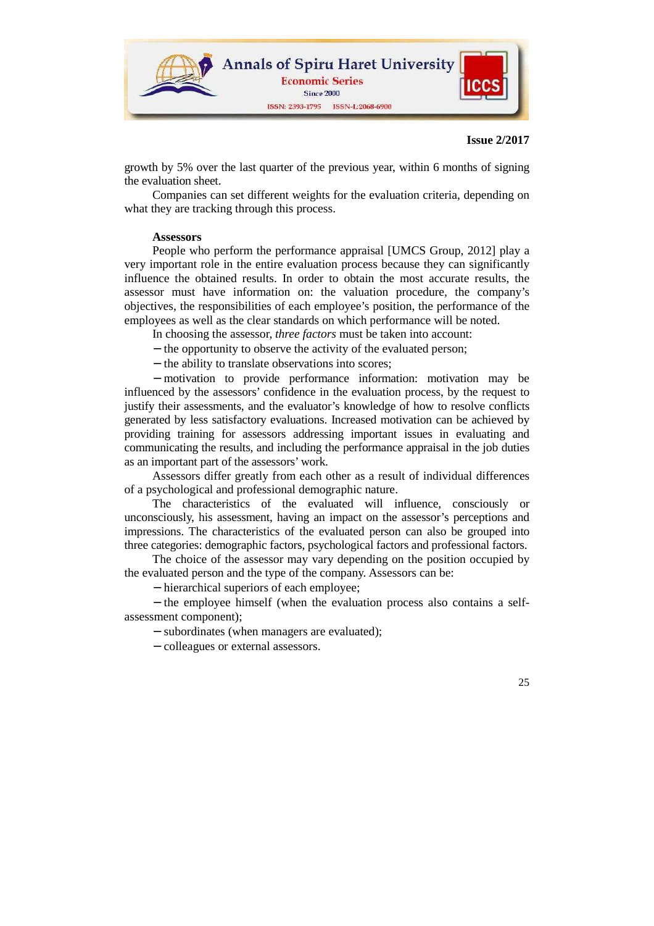

growth by 5% over the last quarter of the previous year, within 6 months of signing the evaluation sheet.

Companies can set different weights for the evaluation criteria, depending on what they are tracking through this process.

### **Assessors**

People who perform the performance appraisal [UMCS Group, 2012] play a very important role in the entire evaluation process because they can significantly influence the obtained results. In order to obtain the most accurate results, the assessor must have information on: the valuation procedure, the company's objectives, the responsibilities of each employee's position, the performance of the employees as well as the clear standards on which performance will be noted.

In choosing the assessor, *three factors* must be taken into account:

- − the opportunity to observe the activity of the evaluated person;
- − the ability to translate observations into scores;

− motivation to provide performance information: motivation may be influenced by the assessors' confidence in the evaluation process, by the request to justify their assessments, and the evaluator's knowledge of how to resolve conflicts generated by less satisfactory evaluations. Increased motivation can be achieved by providing training for assessors addressing important issues in evaluating and communicating the results, and including the performance appraisal in the job duties as an important part of the assessors' work.

Assessors differ greatly from each other as a result of individual differences of a psychological and professional demographic nature.

The characteristics of the evaluated will influence, consciously or unconsciously, his assessment, having an impact on the assessor's perceptions and impressions. The characteristics of the evaluated person can also be grouped into three categories: demographic factors, psychological factors and professional factors.

The choice of the assessor may vary depending on the position occupied by the evaluated person and the type of the company. Assessors can be:

− hierarchical superiors of each employee;

− the employee himself (when the evaluation process also contains a selfassessment component);

− subordinates (when managers are evaluated);

− colleagues or external assessors.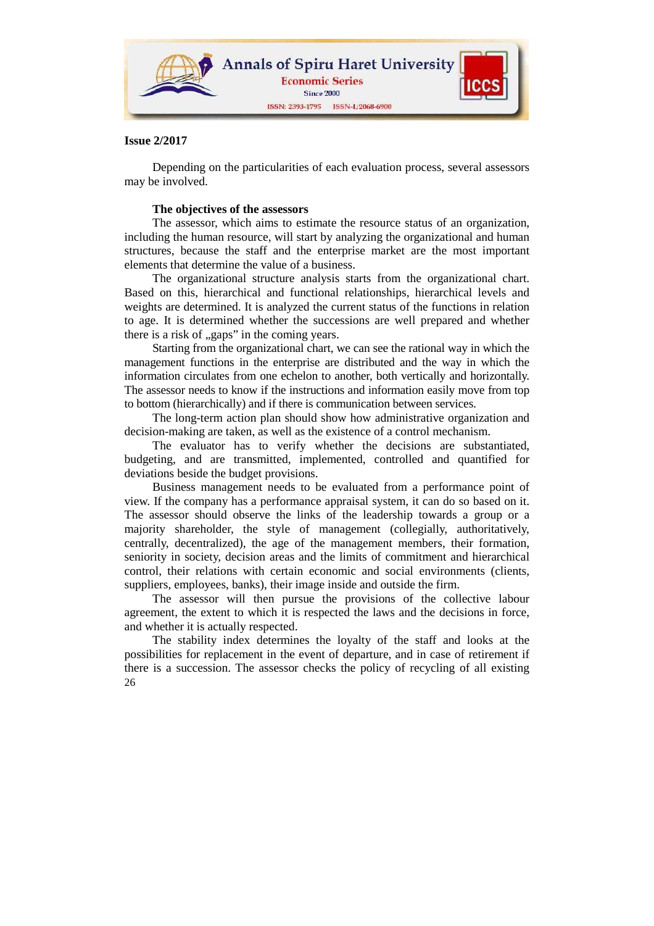

Depending on the particularities of each evaluation process, several assessors may be involved.

## **The objectives of the assessors**

The assessor, which aims to estimate the resource status of an organization, including the human resource, will start by analyzing the organizational and human structures, because the staff and the enterprise market are the most important elements that determine the value of a business.

The organizational structure analysis starts from the organizational chart. Based on this, hierarchical and functional relationships, hierarchical levels and weights are determined. It is analyzed the current status of the functions in relation to age. It is determined whether the successions are well prepared and whether there is a risk of "gaps" in the coming years.

Starting from the organizational chart, we can see the rational way in which the management functions in the enterprise are distributed and the way in which the information circulates from one echelon to another, both vertically and horizontally. The assessor needs to know if the instructions and information easily move from top to bottom (hierarchically) and if there is communication between services.

The long-term action plan should show how administrative organization and decision-making are taken, as well as the existence of a control mechanism.

The evaluator has to verify whether the decisions are substantiated, budgeting, and are transmitted, implemented, controlled and quantified for deviations beside the budget provisions.

Business management needs to be evaluated from a performance point of view. If the company has a performance appraisal system, it can do so based on it. The assessor should observe the links of the leadership towards a group or a majority shareholder, the style of management (collegially, authoritatively, centrally, decentralized), the age of the management members, their formation, seniority in society, decision areas and the limits of commitment and hierarchical control, their relations with certain economic and social environments (clients, suppliers, employees, banks), their image inside and outside the firm.

The assessor will then pursue the provisions of the collective labour agreement, the extent to which it is respected the laws and the decisions in force, and whether it is actually respected.

26 The stability index determines the loyalty of the staff and looks at the possibilities for replacement in the event of departure, and in case of retirement if there is a succession. The assessor checks the policy of recycling of all existing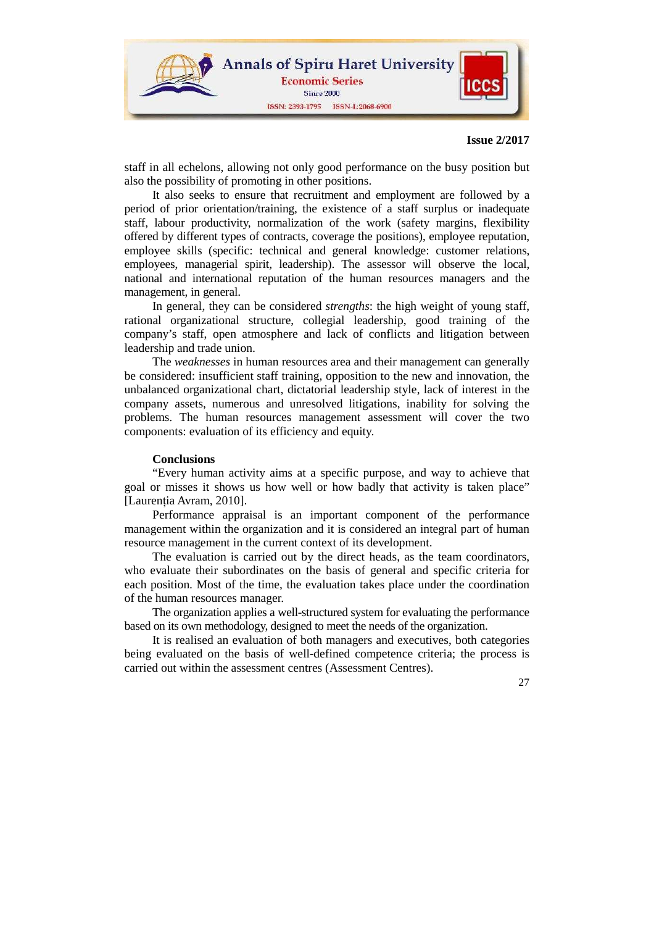

staff in all echelons, allowing not only good performance on the busy position but also the possibility of promoting in other positions.

It also seeks to ensure that recruitment and employment are followed by a period of prior orientation/training, the existence of a staff surplus or inadequate staff, labour productivity, normalization of the work (safety margins, flexibility offered by different types of contracts, coverage the positions), employee reputation, employee skills (specific: technical and general knowledge: customer relations, employees, managerial spirit, leadership). The assessor will observe the local, national and international reputation of the human resources managers and the management, in general.

In general, they can be considered *strengths*: the high weight of young staff, rational organizational structure, collegial leadership, good training of the company's staff, open atmosphere and lack of conflicts and litigation between leadership and trade union.

The *weaknesses* in human resources area and their management can generally be considered: insufficient staff training, opposition to the new and innovation, the unbalanced organizational chart, dictatorial leadership style, lack of interest in the company assets, numerous and unresolved litigations, inability for solving the problems. The human resources management assessment will cover the two components: evaluation of its efficiency and equity.

### **Conclusions**

"Every human activity aims at a specific purpose, and way to achieve that goal or misses it shows us how well or how badly that activity is taken place" [Laurenția Avram, 2010].

Performance appraisal is an important component of the performance management within the organization and it is considered an integral part of human resource management in the current context of its development.

The evaluation is carried out by the direct heads, as the team coordinators, who evaluate their subordinates on the basis of general and specific criteria for each position. Most of the time, the evaluation takes place under the coordination of the human resources manager.

The organization applies a well-structured system for evaluating the performance based on its own methodology, designed to meet the needs of the organization.

It is realised an evaluation of both managers and executives, both categories being evaluated on the basis of well-defined competence criteria; the process is carried out within the assessment centres (Assessment Centres).